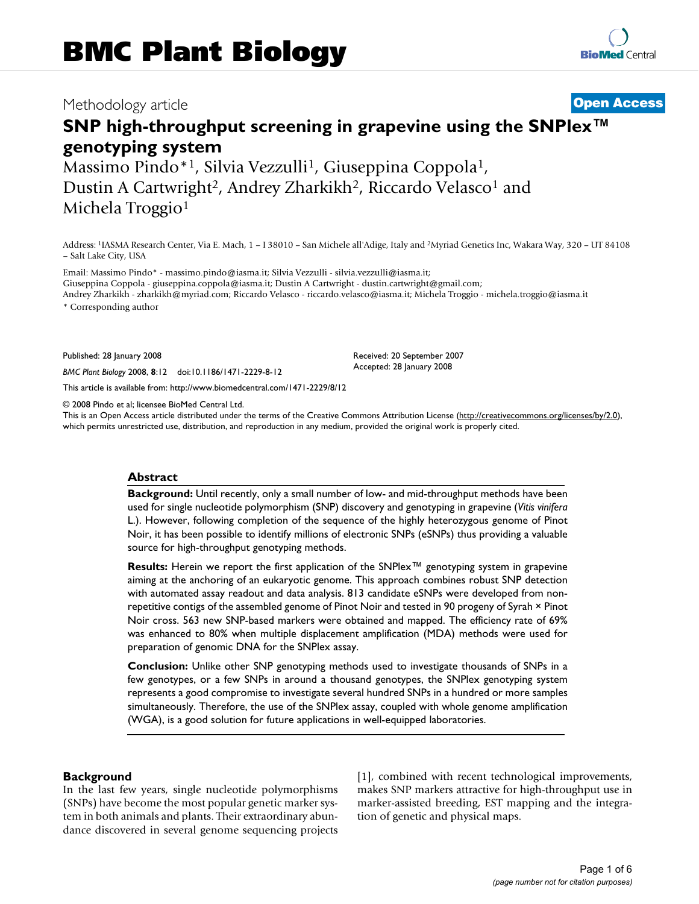## Methodology article **[Open Access](http://www.biomedcentral.com/info/about/charter/)**

# **SNP high-throughput screening in grapevine using the SNPlex™ genotyping system**

Massimo Pindo\*<sup>1</sup>, Silvia Vezzulli<sup>1</sup>, Giuseppina Coppola<sup>1</sup>, Dustin A Cartwright<sup>2</sup>, Andrey Zharkikh<sup>2</sup>, Riccardo Velasco<sup>1</sup> and Michela Troggio<sup>1</sup>

Address: 1IASMA Research Center, Via E. Mach, 1 – I 38010 – San Michele all'Adige, Italy and 2Myriad Genetics Inc, Wakara Way, 320 – UT 84108 – Salt Lake City, USA

Email: Massimo Pindo\* - massimo.pindo@iasma.it; Silvia Vezzulli - silvia.vezzulli@iasma.it; Giuseppina Coppola - giuseppina.coppola@iasma.it; Dustin A Cartwright - dustin.cartwright@gmail.com; Andrey Zharkikh - zharkikh@myriad.com; Riccardo Velasco - riccardo.velasco@iasma.it; Michela Troggio - michela.troggio@iasma.it

\* Corresponding author

Published: 28 January 2008

*BMC Plant Biology* 2008, **8**:12 doi:10.1186/1471-2229-8-12

[This article is available from: http://www.biomedcentral.com/1471-2229/8/12](http://www.biomedcentral.com/1471-2229/8/12)

© 2008 Pindo et al; licensee BioMed Central Ltd.

This is an Open Access article distributed under the terms of the Creative Commons Attribution License [\(http://creativecommons.org/licenses/by/2.0\)](http://creativecommons.org/licenses/by/2.0), which permits unrestricted use, distribution, and reproduction in any medium, provided the original work is properly cited.

Received: 20 September 2007 Accepted: 28 January 2008

#### **Abstract**

**Background:** Until recently, only a small number of low- and mid-throughput methods have been used for single nucleotide polymorphism (SNP) discovery and genotyping in grapevine (*Vitis vinifera* L.). However, following completion of the sequence of the highly heterozygous genome of Pinot Noir, it has been possible to identify millions of electronic SNPs (eSNPs) thus providing a valuable source for high-throughput genotyping methods.

**Results:** Herein we report the first application of the SNPlex™ genotyping system in grapevine aiming at the anchoring of an eukaryotic genome. This approach combines robust SNP detection with automated assay readout and data analysis. 813 candidate eSNPs were developed from nonrepetitive contigs of the assembled genome of Pinot Noir and tested in 90 progeny of Syrah × Pinot Noir cross. 563 new SNP-based markers were obtained and mapped. The efficiency rate of 69% was enhanced to 80% when multiple displacement amplification (MDA) methods were used for preparation of genomic DNA for the SNPlex assay.

**Conclusion:** Unlike other SNP genotyping methods used to investigate thousands of SNPs in a few genotypes, or a few SNPs in around a thousand genotypes, the SNPlex genotyping system represents a good compromise to investigate several hundred SNPs in a hundred or more samples simultaneously. Therefore, the use of the SNPlex assay, coupled with whole genome amplification (WGA), is a good solution for future applications in well-equipped laboratories.

#### **Background**

In the last few years, single nucleotide polymorphisms (SNPs) have become the most popular genetic marker system in both animals and plants. Their extraordinary abundance discovered in several genome sequencing projects [1], combined with recent technological improvements, makes SNP markers attractive for high-throughput use in marker-assisted breeding, EST mapping and the integration of genetic and physical maps.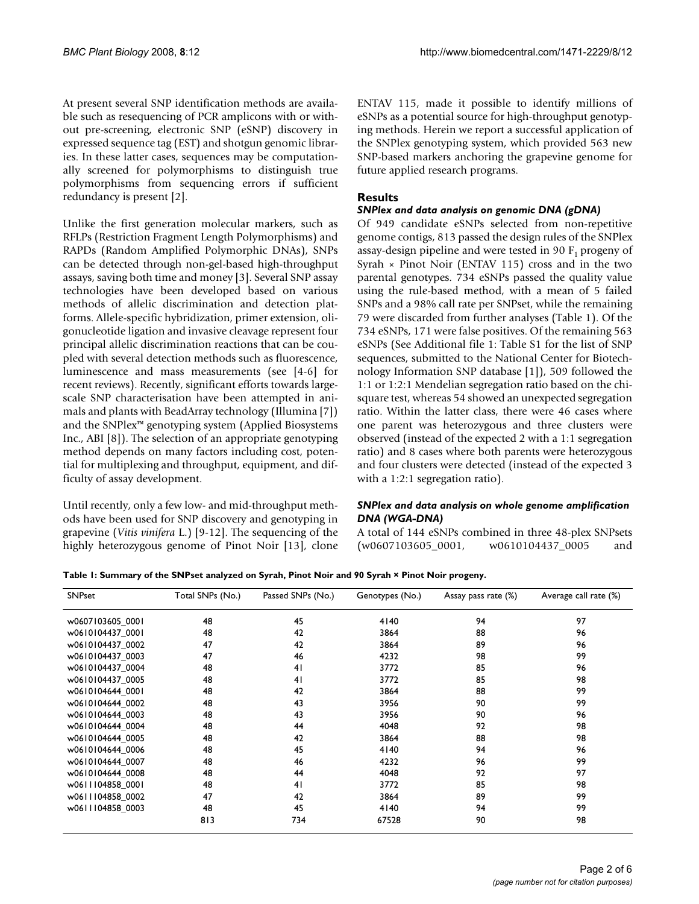At present several SNP identification methods are available such as resequencing of PCR amplicons with or without pre-screening, electronic SNP (eSNP) discovery in expressed sequence tag (EST) and shotgun genomic libraries. In these latter cases, sequences may be computationally screened for polymorphisms to distinguish true polymorphisms from sequencing errors if sufficient redundancy is present [2].

Unlike the first generation molecular markers, such as RFLPs (Restriction Fragment Length Polymorphisms) and RAPDs (Random Amplified Polymorphic DNAs), SNPs can be detected through non-gel-based high-throughput assays, saving both time and money [3]. Several SNP assay technologies have been developed based on various methods of allelic discrimination and detection platforms. Allele-specific hybridization, primer extension, oligonucleotide ligation and invasive cleavage represent four principal allelic discrimination reactions that can be coupled with several detection methods such as fluorescence, luminescence and mass measurements (see [4-6] for recent reviews). Recently, significant efforts towards largescale SNP characterisation have been attempted in animals and plants with BeadArray technology (Illumina [7]) and the SNPlex™ genotyping system (Applied Biosystems Inc., ABI [8]). The selection of an appropriate genotyping method depends on many factors including cost, potential for multiplexing and throughput, equipment, and difficulty of assay development.

Until recently, only a few low- and mid-throughput methods have been used for SNP discovery and genotyping in grapevine (*Vitis vinifera* L.) [9-12]. The sequencing of the highly heterozygous genome of Pinot Noir [13], clone ENTAV 115, made it possible to identify millions of eSNPs as a potential source for high-throughput genotyping methods. Herein we report a successful application of the SNPlex genotyping system, which provided 563 new SNP-based markers anchoring the grapevine genome for future applied research programs.

#### **Results**

#### *SNPlex and data analysis on genomic DNA (gDNA)*

Of 949 candidate eSNPs selected from non-repetitive genome contigs, 813 passed the design rules of the SNPlex assay-design pipeline and were tested in 90  $F_1$  progeny of Syrah  $\times$  Pinot Noir (ENTAV 115) cross and in the two parental genotypes. 734 eSNPs passed the quality value using the rule-based method, with a mean of 5 failed SNPs and a 98% call rate per SNPset, while the remaining 79 were discarded from further analyses (Table 1). Of the 734 eSNPs, 171 were false positives. Of the remaining 563 eSNPs (See Additional file 1: Table S1 for the list of SNP sequences, submitted to the National Center for Biotechnology Information SNP database [1]), 509 followed the 1:1 or 1:2:1 Mendelian segregation ratio based on the chisquare test, whereas 54 showed an unexpected segregation ratio. Within the latter class, there were 46 cases where one parent was heterozygous and three clusters were observed (instead of the expected 2 with a 1:1 segregation ratio) and 8 cases where both parents were heterozygous and four clusters were detected (instead of the expected 3 with a 1:2:1 segregation ratio).

#### *SNPlex and data analysis on whole genome amplification DNA (WGA-DNA)*

A total of 144 eSNPs combined in three 48-plex SNPsets (w0607103605\_0001, w0610104437\_0005 and

**Table 1: Summary of the SNPset analyzed on Syrah, Pinot Noir and 90 Syrah × Pinot Noir progeny.**

| SNPset           | Total SNPs (No.) | Passed SNPs (No.) | Genotypes (No.) | Assay pass rate (%) | Average call rate (%) |
|------------------|------------------|-------------------|-----------------|---------------------|-----------------------|
| w0607103605 0001 | 48               | 45                | 4140            | 94                  | 97                    |
| w0610104437 0001 | 48               | 42                | 3864            | 88                  | 96                    |
| w0610104437 0002 | 47               | 42                | 3864            | 89                  | 96                    |
| w0610104437 0003 | 47               | 46                | 4232            | 98                  | 99                    |
| w0610104437 0004 | 48               | 41                | 3772            | 85                  | 96                    |
| w0610104437_0005 | 48               | 41                | 3772            | 85                  | 98                    |
| w0610104644 0001 | 48               | 42                | 3864            | 88                  | 99                    |
| w0610104644 0002 | 48               | 43                | 3956            | 90                  | 99                    |
| w0610104644 0003 | 48               | 43                | 3956            | 90                  | 96                    |
| w0610104644 0004 | 48               | 44                | 4048            | 92                  | 98                    |
| w0610104644 0005 | 48               | 42                | 3864            | 88                  | 98                    |
| w0610104644 0006 | 48               | 45                | 4140            | 94                  | 96                    |
| w0610104644 0007 | 48               | 46                | 4232            | 96                  | 99                    |
| w0610104644 0008 | 48               | 44                | 4048            | 92                  | 97                    |
| w0611104858 0001 | 48               | 41                | 3772            | 85                  | 98                    |
| w0611104858_0002 | 47               | 42                | 3864            | 89                  | 99                    |
| w0611104858 0003 | 48               | 45                | 4140            | 94                  | 99                    |
|                  | 813              | 734               | 67528           | 90                  | 98                    |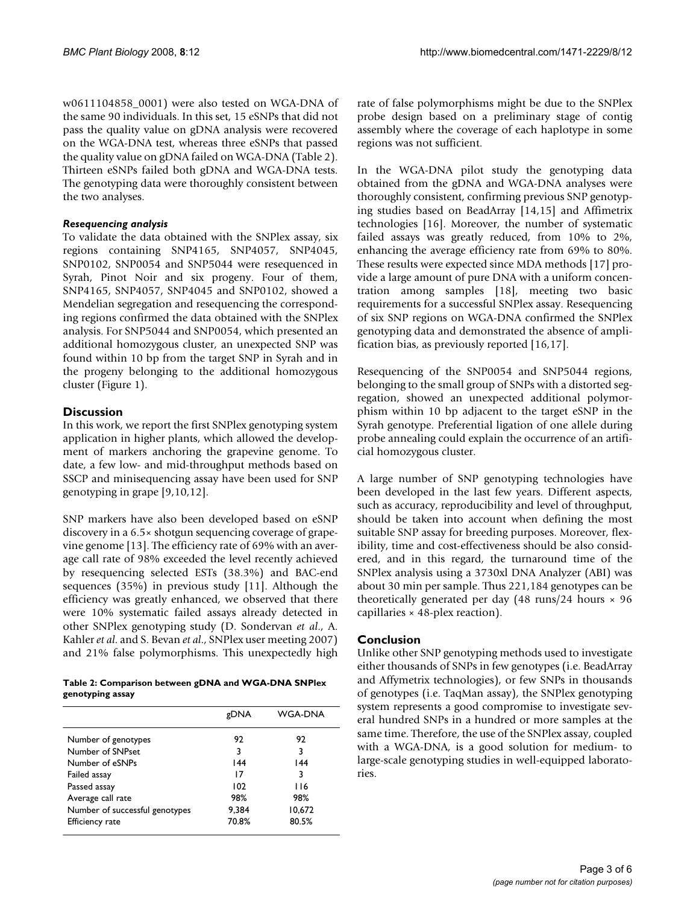w0611104858\_0001) were also tested on WGA-DNA of the same 90 individuals. In this set, 15 eSNPs that did not pass the quality value on gDNA analysis were recovered on the WGA-DNA test, whereas three eSNPs that passed the quality value on gDNA failed on WGA-DNA (Table 2). Thirteen eSNPs failed both gDNA and WGA-DNA tests. The genotyping data were thoroughly consistent between the two analyses.

#### *Resequencing analysis*

To validate the data obtained with the SNPlex assay, six regions containing SNP4165, SNP4057, SNP4045, SNP0102, SNP0054 and SNP5044 were resequenced in Syrah, Pinot Noir and six progeny. Four of them, SNP4165, SNP4057, SNP4045 and SNP0102, showed a Mendelian segregation and resequencing the corresponding regions confirmed the data obtained with the SNPlex analysis. For SNP5044 and SNP0054, which presented an additional homozygous cluster, an unexpected SNP was found within 10 bp from the target SNP in Syrah and in the progeny belonging to the additional homozygous cluster (Figure 1).

#### **Discussion**

In this work, we report the first SNPlex genotyping system application in higher plants, which allowed the development of markers anchoring the grapevine genome. To date, a few low- and mid-throughput methods based on SSCP and minisequencing assay have been used for SNP genotyping in grape [9,10,12].

SNP markers have also been developed based on eSNP discovery in a 6.5× shotgun sequencing coverage of grapevine genome [13]. The efficiency rate of 69% with an average call rate of 98% exceeded the level recently achieved by resequencing selected ESTs (38.3%) and BAC-end sequences (35%) in previous study [11]. Although the efficiency was greatly enhanced, we observed that there were 10% systematic failed assays already detected in other SNPlex genotyping study (D. Sondervan *et al*., A. Kahler *et al*. and S. Bevan *et al*., SNPlex user meeting 2007) and 21% false polymorphisms. This unexpectedly high

**Table 2: Comparison between gDNA and WGA-DNA SNPlex genotyping assay**

| gDNA  | <b>WGA-DNA</b> |
|-------|----------------|
| 92    | 92             |
| 3     | 3              |
| 144   | 144            |
| 17    | 3              |
| 102   | 116            |
| 98%   | 98%            |
| 9.384 | 10,672         |
| 70.8% | 80.5%          |
|       |                |

rate of false polymorphisms might be due to the SNPlex probe design based on a preliminary stage of contig assembly where the coverage of each haplotype in some regions was not sufficient.

In the WGA-DNA pilot study the genotyping data obtained from the gDNA and WGA-DNA analyses were thoroughly consistent, confirming previous SNP genotyping studies based on BeadArray [14,15] and Affimetrix technologies [16]. Moreover, the number of systematic failed assays was greatly reduced, from 10% to 2%, enhancing the average efficiency rate from 69% to 80%. These results were expected since MDA methods [17] provide a large amount of pure DNA with a uniform concentration among samples [18], meeting two basic requirements for a successful SNPlex assay. Resequencing of six SNP regions on WGA-DNA confirmed the SNPlex genotyping data and demonstrated the absence of amplification bias, as previously reported [16,17].

Resequencing of the SNP0054 and SNP5044 regions, belonging to the small group of SNPs with a distorted segregation, showed an unexpected additional polymorphism within 10 bp adjacent to the target eSNP in the Syrah genotype. Preferential ligation of one allele during probe annealing could explain the occurrence of an artificial homozygous cluster.

A large number of SNP genotyping technologies have been developed in the last few years. Different aspects, such as accuracy, reproducibility and level of throughput, should be taken into account when defining the most suitable SNP assay for breeding purposes. Moreover, flexibility, time and cost-effectiveness should be also considered, and in this regard, the turnaround time of the SNPlex analysis using a 3730xl DNA Analyzer (ABI) was about 30 min per sample. Thus 221,184 genotypes can be theoretically generated per day  $(48 \text{ runs}/24 \text{ hours} \times 96$ capillaries × 48-plex reaction).

#### **Conclusion**

Unlike other SNP genotyping methods used to investigate either thousands of SNPs in few genotypes (i.e. BeadArray and Affymetrix technologies), or few SNPs in thousands of genotypes (i.e. TaqMan assay), the SNPlex genotyping system represents a good compromise to investigate several hundred SNPs in a hundred or more samples at the same time. Therefore, the use of the SNPlex assay, coupled with a WGA-DNA, is a good solution for medium- to large-scale genotyping studies in well-equipped laboratories.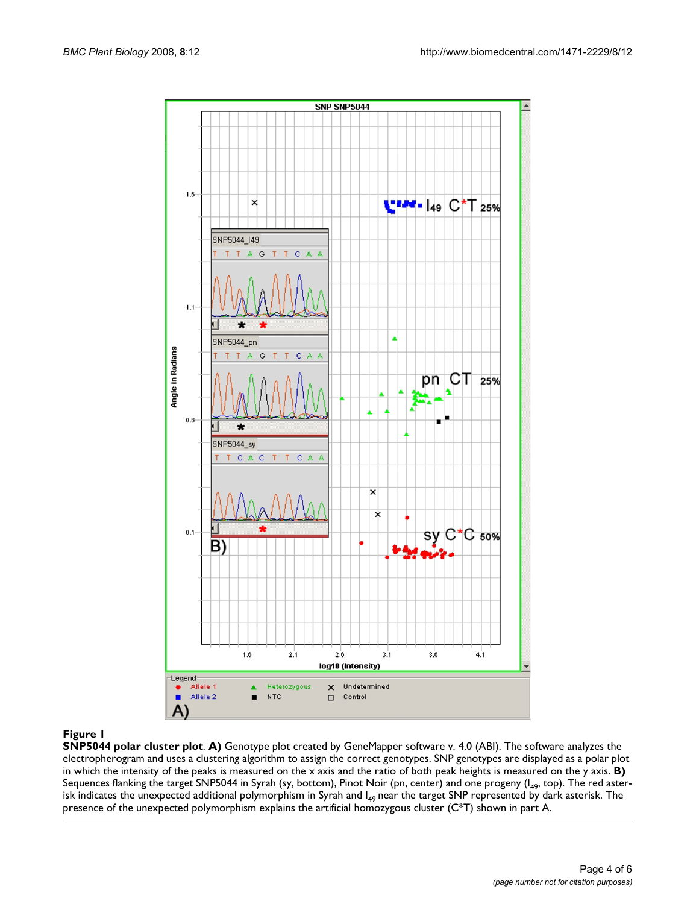

#### **Figure 1**

**SNP5044 polar cluster plot**. **A)** Genotype plot created by GeneMapper software v. 4.0 (ABI). The software analyzes the electropherogram and uses a clustering algorithm to assign the correct genotypes. SNP genotypes are displayed as a polar plot in which the intensity of the peaks is measured on the x axis and the ratio of both peak heights is measured on the y axis. **B)**  Sequences flanking the target SNP5044 in Syrah (sy, bottom), Pinot Noir (pn, center) and one progeny ( $I_{49}$ , top). The red asterisk indicates the unexpected additional polymorphism in Syrah and  $I_{49}$  near the target SNP represented by dark asterisk. The presence of the unexpected polymorphism explains the artificial homozygous cluster (C\*T) shown in part A.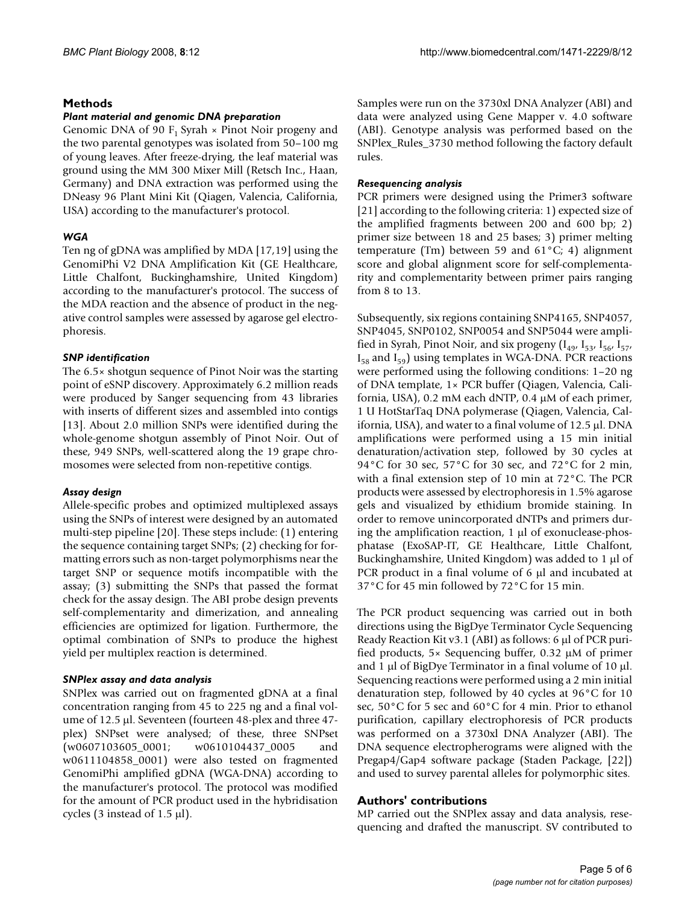#### **Methods**

#### *Plant material and genomic DNA preparation*

Genomic DNA of 90  $F_1$  Syrah  $\times$  Pinot Noir progeny and the two parental genotypes was isolated from 50–100 mg of young leaves. After freeze-drying, the leaf material was ground using the MM 300 Mixer Mill (Retsch Inc., Haan, Germany) and DNA extraction was performed using the DNeasy 96 Plant Mini Kit (Qiagen, Valencia, California, USA) according to the manufacturer's protocol.

#### *WGA*

Ten ng of gDNA was amplified by MDA [17,19] using the GenomiPhi V2 DNA Amplification Kit (GE Healthcare, Little Chalfont, Buckinghamshire, United Kingdom) according to the manufacturer's protocol. The success of the MDA reaction and the absence of product in the negative control samples were assessed by agarose gel electrophoresis.

#### *SNP identification*

The 6.5× shotgun sequence of Pinot Noir was the starting point of eSNP discovery. Approximately 6.2 million reads were produced by Sanger sequencing from 43 libraries with inserts of different sizes and assembled into contigs [13]. About 2.0 million SNPs were identified during the whole-genome shotgun assembly of Pinot Noir. Out of these, 949 SNPs, well-scattered along the 19 grape chromosomes were selected from non-repetitive contigs.

#### *Assay design*

Allele-specific probes and optimized multiplexed assays using the SNPs of interest were designed by an automated multi-step pipeline [20]. These steps include: (1) entering the sequence containing target SNPs; (2) checking for formatting errors such as non-target polymorphisms near the target SNP or sequence motifs incompatible with the assay; (3) submitting the SNPs that passed the format check for the assay design. The ABI probe design prevents self-complementarity and dimerization, and annealing efficiencies are optimized for ligation. Furthermore, the optimal combination of SNPs to produce the highest yield per multiplex reaction is determined.

### *SNPlex assay and data analysis*

SNPlex was carried out on fragmented gDNA at a final concentration ranging from 45 to 225 ng and a final volume of 12.5 μl. Seventeen (fourteen 48-plex and three 47 plex) SNPset were analysed; of these, three SNPset (w0607103605\_0001; w0610104437\_0005 and w0611104858\_0001) were also tested on fragmented GenomiPhi amplified gDNA (WGA-DNA) according to the manufacturer's protocol. The protocol was modified for the amount of PCR product used in the hybridisation cycles (3 instead of 1.5 μl).

Samples were run on the 3730xl DNA Analyzer (ABI) and data were analyzed using Gene Mapper v. 4.0 software (ABI). Genotype analysis was performed based on the SNPlex\_Rules\_3730 method following the factory default rules.

#### *Resequencing analysis*

PCR primers were designed using the Primer3 software [21] according to the following criteria: 1) expected size of the amplified fragments between 200 and 600 bp; 2) primer size between 18 and 25 bases; 3) primer melting temperature (Tm) between 59 and  $61^{\circ}$ C; 4) alignment score and global alignment score for self-complementarity and complementarity between primer pairs ranging from 8 to 13.

Subsequently, six regions containing SNP4165, SNP4057, SNP4045, SNP0102, SNP0054 and SNP5044 were amplified in Syrah, Pinot Noir, and six progeny  $[I_{49}, I_{53}, I_{56}, I_{57}]$  $I_{58}$  and  $I_{59}$ ) using templates in WGA-DNA. PCR reactions were performed using the following conditions: 1–20 ng of DNA template, 1× PCR buffer (Qiagen, Valencia, California, USA), 0.2 mM each dNTP, 0.4 μM of each primer, 1 U HotStarTaq DNA polymerase (Qiagen, Valencia, California, USA), and water to a final volume of 12.5 μl. DNA amplifications were performed using a 15 min initial denaturation/activation step, followed by 30 cycles at 94°C for 30 sec, 57°C for 30 sec, and 72°C for 2 min, with a final extension step of 10 min at 72°C. The PCR products were assessed by electrophoresis in 1.5% agarose gels and visualized by ethidium bromide staining. In order to remove unincorporated dNTPs and primers during the amplification reaction, 1 μl of exonuclease-phosphatase (ExoSAP-IT, GE Healthcare, Little Chalfont, Buckinghamshire, United Kingdom) was added to 1 μl of PCR product in a final volume of 6 μl and incubated at 37°C for 45 min followed by 72°C for 15 min.

The PCR product sequencing was carried out in both directions using the BigDye Terminator Cycle Sequencing Ready Reaction Kit v3.1 (ABI) as follows: 6 μl of PCR purified products, 5× Sequencing buffer, 0.32 μM of primer and 1 μl of BigDye Terminator in a final volume of 10 μl. Sequencing reactions were performed using a 2 min initial denaturation step, followed by 40 cycles at 96°C for 10 sec, 50°C for 5 sec and 60°C for 4 min. Prior to ethanol purification, capillary electrophoresis of PCR products was performed on a 3730xl DNA Analyzer (ABI). The DNA sequence electropherograms were aligned with the Pregap4/Gap4 software package (Staden Package, [22]) and used to survey parental alleles for polymorphic sites.

### **Authors' contributions**

MP carried out the SNPlex assay and data analysis, resequencing and drafted the manuscript. SV contributed to